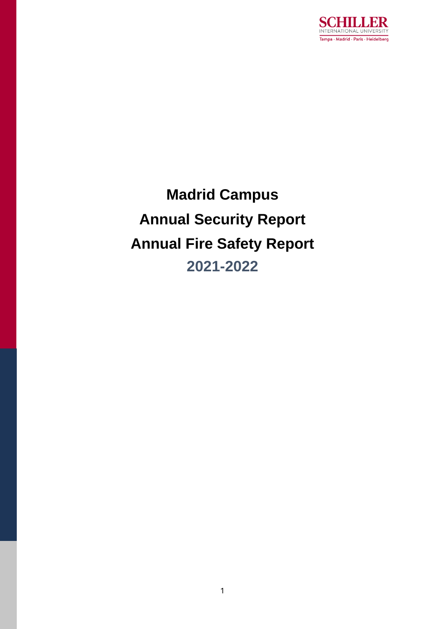

**Madrid Campus Annual Security Report Annual Fire Safety Report 2021-2022**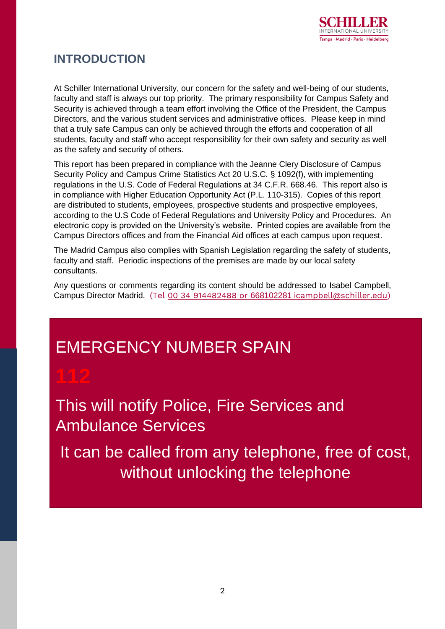

## **INTRODUCTION**

At Schiller International University, our concern for the safety and well-being of our students, faculty and staff is always our top priority. The primary responsibility for Campus Safety and Security is achieved through a team effort involving the Office of the President, the Campus Directors, and the various student services and administrative offices. Please keep in mind that a truly safe Campus can only be achieved through the efforts and cooperation of all students, faculty and staff who accept responsibility for their own safety and security as well as the safety and security of others.

This report has been prepared in compliance with the Jeanne Clery Disclosure of Campus Security Policy and Campus Crime Statistics Act 20 U.S.C. § 1092(f), with implementing regulations in the U.S. Code of Federal Regulations at 34 C.F.R. 668.46. This report also is in compliance with Higher Education Opportunity Act (P.L. 110-315). Copies of this report are distributed to students, employees, prospective students and prospective employees, according to the U.S Code of Federal Regulations and University Policy and Procedures. An electronic copy is provided on the University's website. Printed copies are available from the Campus Directors offices and from the Financial Aid offices at each campus upon request.

The Madrid Campus also complies with Spanish Legislation regarding the safety of students, faculty and staff. Periodic inspections of the premises are made by our local safety consultants.

Any questions or comments regarding its content should be addressed to Isabel Campbell, Campus Director Madrid. (Tel 00 34 914482488 or 668102281 i[campbell@schiller.edu\)](mailto:914482488%20or%20668102281%20/icampbell@schiller.edu)

# EMERGENCY NUMBER SPAIN

This will notify Police, Fire Services and Ambulance Services

It can be called from any telephone, free of cost, without unlocking the telephone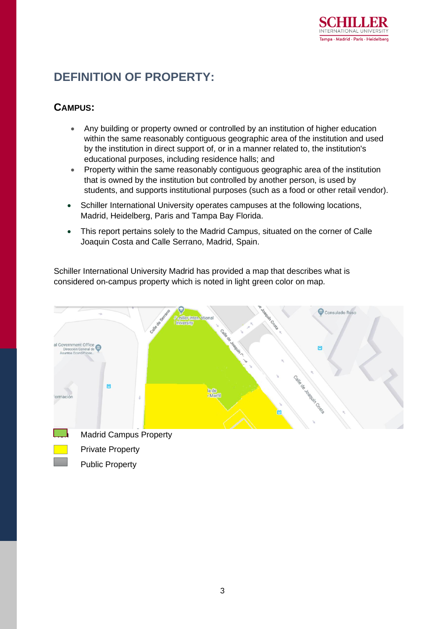

## **DEFINITION OF PROPERTY:**

### **CAMPUS:**

- Any building or property owned or controlled by an institution of higher education within the same reasonably contiguous geographic area of the institution and used by the institution in direct support of, or in a manner related to, the institution's educational purposes, including residence halls; and
- Property within the same reasonably contiguous geographic area of the institution that is owned by the institution but controlled by another person, is used by students, and supports institutional purposes (such as a food or other retail vendor).
- Schiller International University operates campuses at the following locations, Madrid, Heidelberg, Paris and Tampa Bay Florida.
- This report pertains solely to the Madrid Campus, situated on the corner of Calle Joaquin Costa and Calle Serrano, Madrid, Spain.

Schiller International University Madrid has provided a map that describes what is considered on-campus property which is noted in light green color on map.

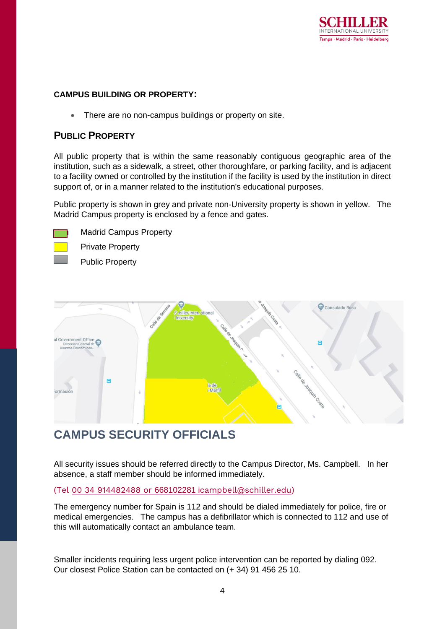

#### **CAMPUS BUILDING OR PROPERTY:**

There are no non-campus buildings or property on site.

#### **PUBLIC PROPERTY**

All public property that is within the same reasonably contiguous geographic area of the institution, such as a sidewalk, a street, other thoroughfare, or parking facility, and is adjacent to a facility owned or controlled by the institution if the facility is used by the institution in direct support of, or in a manner related to the institution's educational purposes.

Public property is shown in grey and private non-University property is shown in yellow. The Madrid Campus property is enclosed by a fence and gates.



**Madrid Campus Property** 

Private Property

Public Property



## **CAMPUS SECURITY OFFICIALS**

All security issues should be referred directly to the Campus Director, Ms. Campbell. In her absence, a staff member should be informed immediately.

#### (Tel 00 34 914482488 or 668102281 i[campbell@schiller.edu\)](mailto:914482488%20or%20668102281%20/icampbell@schiller.edu)

The emergency number for Spain is 112 and should be dialed immediately for police, fire or medical emergencies. The campus has a defibrillator which is connected to 112 and use of this will automatically contact an ambulance team.

Smaller incidents requiring less urgent police intervention can be reported by dialing 092. Our closest Police Station can be contacted on (+ 34) 91 456 25 10.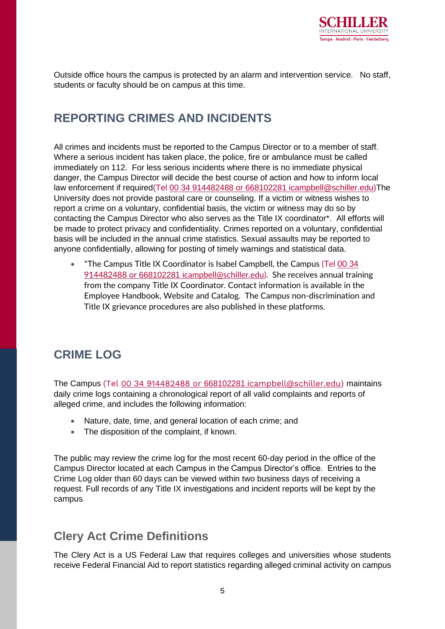

Outside office hours the campus is protected by an alarm and intervention service. No staff, students or faculty should be on campus at this time.

### **REPORTING CRIMES AND INCIDENTS**

All crimes and incidents must be reported to the Campus Director or to a member of staff. Where a serious incident has taken place, the police, fire or ambulance must be called immediately on 112. For less serious incidents where there is no immediate physical danger, the Campus Director will decide the best course of action and how to inform local law enforcement if required(Tel 00 34 914482488 or 668102281 [icampbell@schiller.edu\)](mailto:914482488%20or%20668102281%20/icampbell@schiller.edu)The University does not provide pastoral care or counseling. If a victim or witness wishes to report a crime on a voluntary, confidential basis, the victim or witness may do so by contacting the Campus Director who also serves as the Title IX coordinator\*. All efforts will be made to protect privacy and confidentiality. Crimes reported on a voluntary, confidential basis will be included in the annual crime statistics. Sexual assaults may be reported to anyone confidentially, allowing for posting of timely warnings and statistical data.

• \*The Campus Title IX Coordinator is Isabel Campbell, the Campus (Tel 00 34 914482488 or 668102281 i[campbell@schiller.edu\)](mailto:914482488%20or%20668102281%20/icampbell@schiller.edu). She receives annual training from the company Title IX Coordinator. Contact information is available in the Employee Handbook, Website and Catalog. The Campus non-discrimination and Title IX grievance procedures are also published in these platforms.

## **CRIME LOG**

The Campus (Tel 00 34 914482488 or 668102281 i[campbell@schiller.edu\)](mailto:914482488%20or%20668102281%20/icampbell@schiller.edu) maintains daily crime logs containing a chronological report of all valid complaints and reports of alleged crime, and includes the following information:

- Nature, date, time, and general location of each crime; and
- The disposition of the complaint, if known.

The public may review the crime log for the most recent 60-day period in the office of the Campus Director located at each Campus in the Campus Director's office. Entries to the Crime Log older than 60 days can be viewed within two business days of receiving a request. Full records of any Title IX investigations and incident reports will be kept by the campus.

## **Clery Act Crime Definitions**

The Clery Act is a US Federal Law that requires colleges and universities whose students receive Federal Financial Aid to report statistics regarding alleged criminal activity on campus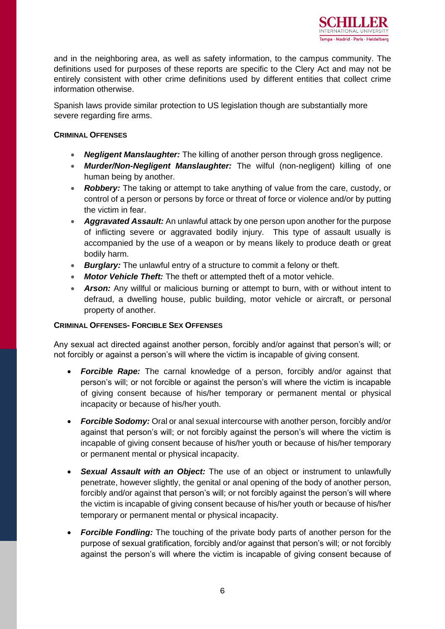

and in the neighboring area, as well as safety information, to the campus community. The definitions used for purposes of these reports are specific to the Clery Act and may not be entirely consistent with other crime definitions used by different entities that collect crime information otherwise.

Spanish laws provide similar protection to US legislation though are substantially more severe regarding fire arms.

#### **CRIMINAL OFFENSES**

- *Negligent Manslaughter:* The killing of another person through gross negligence.
- *Murder/Non-Negligent Manslaughter:* The wilful (non-negligent) killing of one human being by another.
- **Robbery:** The taking or attempt to take anything of value from the care, custody, or control of a person or persons by force or threat of force or violence and/or by putting the victim in fear.
- *Aggravated Assault:* An unlawful attack by one person upon another for the purpose of inflicting severe or aggravated bodily injury. This type of assault usually is accompanied by the use of a weapon or by means likely to produce death or great bodily harm.
- *Burglary:* The unlawful entry of a structure to commit a felony or theft.
- *Motor Vehicle Theft:* The theft or attempted theft of a motor vehicle.
- **Arson:** Any willful or malicious burning or attempt to burn, with or without intent to defraud, a dwelling house, public building, motor vehicle or aircraft, or personal property of another.

#### **CRIMINAL OFFENSES- FORCIBLE SEX OFFENSES**

Any sexual act directed against another person, forcibly and/or against that person's will; or not forcibly or against a person's will where the victim is incapable of giving consent.

- *Forcible Rape:* The carnal knowledge of a person, forcibly and/or against that person's will; or not forcible or against the person's will where the victim is incapable of giving consent because of his/her temporary or permanent mental or physical incapacity or because of his/her youth.
- *Forcible Sodomy:* Oral or anal sexual intercourse with another person, forcibly and/or against that person's will; or not forcibly against the person's will where the victim is incapable of giving consent because of his/her youth or because of his/her temporary or permanent mental or physical incapacity.
- *Sexual Assault with an Object:* The use of an object or instrument to unlawfully penetrate, however slightly, the genital or anal opening of the body of another person, forcibly and/or against that person's will; or not forcibly against the person's will where the victim is incapable of giving consent because of his/her youth or because of his/her temporary or permanent mental or physical incapacity.
- *Forcible Fondling:* The touching of the private body parts of another person for the purpose of sexual gratification, forcibly and/or against that person's will; or not forcibly against the person's will where the victim is incapable of giving consent because of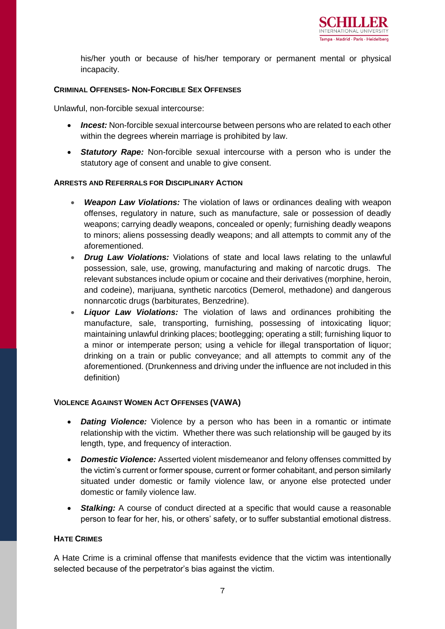

his/her youth or because of his/her temporary or permanent mental or physical incapacity.

#### **CRIMINAL OFFENSES- NON-FORCIBLE SEX OFFENSES**

Unlawful, non-forcible sexual intercourse:

- *Incest:* Non-forcible sexual intercourse between persons who are related to each other within the degrees wherein marriage is prohibited by law.
- *Statutory Rape:* Non-forcible sexual intercourse with a person who is under the statutory age of consent and unable to give consent.

#### **ARRESTS AND REFERRALS FOR DISCIPLINARY ACTION**

- *Weapon Law Violations:* The violation of laws or ordinances dealing with weapon offenses, regulatory in nature, such as manufacture, sale or possession of deadly weapons; carrying deadly weapons, concealed or openly; furnishing deadly weapons to minors; aliens possessing deadly weapons; and all attempts to commit any of the aforementioned.
- *Drug Law Violations:* Violations of state and local laws relating to the unlawful possession, sale, use, growing, manufacturing and making of narcotic drugs. The relevant substances include opium or cocaine and their derivatives (morphine, heroin, and codeine), marijuana, synthetic narcotics (Demerol, methadone) and dangerous nonnarcotic drugs (barbiturates, Benzedrine).
- *Liquor Law Violations:* The violation of laws and ordinances prohibiting the manufacture, sale, transporting, furnishing, possessing of intoxicating liquor; maintaining unlawful drinking places; bootlegging; operating a still; furnishing liquor to a minor or intemperate person; using a vehicle for illegal transportation of liquor; drinking on a train or public conveyance; and all attempts to commit any of the aforementioned. (Drunkenness and driving under the influence are not included in this definition)

#### **VIOLENCE AGAINST WOMEN ACT OFFENSES (VAWA)**

- *Dating Violence:* Violence by a person who has been in a romantic or intimate relationship with the victim. Whether there was such relationship will be gauged by its length, type, and frequency of interaction.
- *Domestic Violence:* Asserted violent misdemeanor and felony offenses committed by the victim's current or former spouse, current or former cohabitant, and person similarly situated under domestic or family violence law, or anyone else protected under domestic or family violence law.
- *Stalking:* A course of conduct directed at a specific that would cause a reasonable person to fear for her, his, or others' safety, or to suffer substantial emotional distress.

#### **HATE CRIMES**

A Hate Crime is a criminal offense that manifests evidence that the victim was intentionally selected because of the perpetrator's bias against the victim.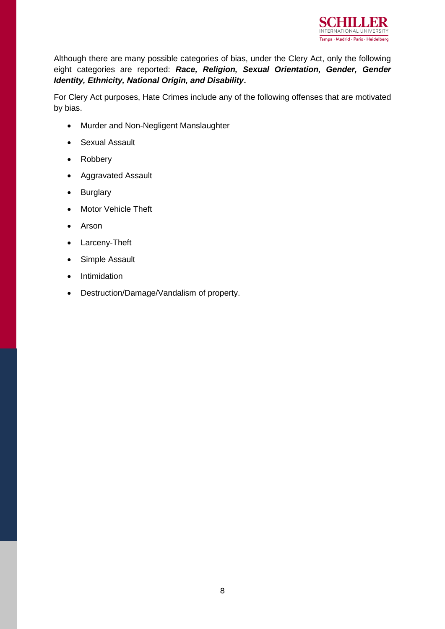

Although there are many possible categories of bias, under the Clery Act, only the following eight categories are reported: *Race, Religion, Sexual Orientation, Gender, Gender Identity, Ethnicity, National Origin, and Disability***.**

For Clery Act purposes, Hate Crimes include any of the following offenses that are motivated by bias.

- Murder and Non-Negligent Manslaughter
- Sexual Assault
- Robbery
- Aggravated Assault
- Burglary
- Motor Vehicle Theft
- Arson
- Larceny-Theft
- Simple Assault
- Intimidation
- Destruction/Damage/Vandalism of property.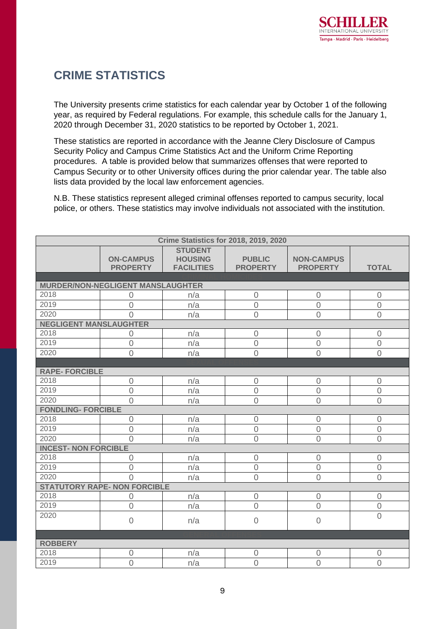## **CRIME STATISTICS**

The University presents crime statistics for each calendar year by October 1 of the following year, as required by Federal regulations. For example, this schedule calls for the January 1, 2020 through December 31, 2020 statistics to be reported by October 1, 2021.

These statistics are reported in accordance with the Jeanne Clery Disclosure of Campus Security Policy and Campus Crime Statistics Act and the Uniform Crime Reporting procedures. A table is provided below that summarizes offenses that were reported to Campus Security or to other University offices during the prior calendar year. The table also lists data provided by the local law enforcement agencies.

N.B. These statistics represent alleged criminal offenses reported to campus security, local police, or others. These statistics may involve individuals not associated with the institution.

| <b>Crime Statistics for 2018, 2019, 2020</b> |                                          |                                                       |                                  |                                      |                                  |  |
|----------------------------------------------|------------------------------------------|-------------------------------------------------------|----------------------------------|--------------------------------------|----------------------------------|--|
|                                              | <b>ON-CAMPUS</b><br><b>PROPERTY</b>      | <b>STUDENT</b><br><b>HOUSING</b><br><b>FACILITIES</b> | <b>PUBLIC</b><br><b>PROPERTY</b> | <b>NON-CAMPUS</b><br><b>PROPERTY</b> | <b>TOTAL</b>                     |  |
|                                              |                                          |                                                       |                                  |                                      |                                  |  |
| 2018                                         | <b>MURDER/NON-NEGLIGENT MANSLAUGHTER</b> |                                                       |                                  |                                      |                                  |  |
| 2019                                         | $\overline{0}$<br>$\mathbf 0$            | n/a                                                   | $\mathbf 0$<br>$\mathbf 0$       | $\mathbf 0$                          | $\overline{0}$<br>$\overline{0}$ |  |
| 2020                                         | $\Omega$                                 | n/a<br>n/a                                            | $\overline{0}$                   | $\mathbf 0$<br>$\overline{0}$        | $\overline{0}$                   |  |
| <b>NEGLIGENT MANSLAUGHTER</b>                |                                          |                                                       |                                  |                                      |                                  |  |
| 2018                                         | $\overline{0}$                           | n/a                                                   | $\sqrt{a}$                       | $\overline{0}$                       | $\overline{0}$                   |  |
| 2019                                         | $\overline{0}$                           | n/a                                                   | $\overline{0}$                   | $\overline{0}$                       | $\overline{0}$                   |  |
| 2020                                         | $\overline{0}$                           | n/a                                                   | $\overline{0}$                   | $\overline{0}$                       | $\overline{0}$                   |  |
|                                              |                                          |                                                       |                                  |                                      |                                  |  |
| <b>RAPE-FORCIBLE</b>                         |                                          |                                                       |                                  |                                      |                                  |  |
| 2018                                         | $\overline{0}$                           | n/a                                                   | $\sqrt{a}$                       | $\overline{0}$                       | $\overline{0}$                   |  |
| 2019                                         | $\overline{0}$                           | n/a                                                   | $\overline{0}$                   | $\overline{0}$                       | $\overline{0}$                   |  |
| 2020                                         | $\overline{0}$                           | n/a                                                   | $\overline{0}$                   | $\overline{0}$                       | $\overline{0}$                   |  |
| <b>FONDLING- FORCIBLE</b>                    |                                          |                                                       |                                  |                                      |                                  |  |
| 2018                                         | $\mathbf 0$                              | n/a                                                   | $\mathbf 0$                      | $\mathbf 0$                          | $\mathbf 0$                      |  |
| 2019                                         | $\mathbf 0$                              | n/a                                                   | $\mathbf 0$                      | $\mathbf 0$                          | $\mathbf 0$                      |  |
| 2020                                         | $\Omega$                                 | n/a                                                   | $\overline{0}$                   | $\overline{0}$                       | $\overline{0}$                   |  |
| <b>INCEST- NON FORCIBLE</b>                  |                                          |                                                       |                                  |                                      |                                  |  |
| 2018                                         | 0                                        | n/a                                                   | $\mathbf 0$                      | $\mathbf 0$                          | $\overline{0}$                   |  |
| 2019                                         | $\overline{0}$                           | n/a                                                   | $\overline{0}$                   | $\overline{0}$                       | $\overline{0}$                   |  |
| 2020                                         | $\Omega$                                 | n/a                                                   | $\overline{0}$                   | $\mathbf 0$                          | $\overline{0}$                   |  |
| <b>STATUTORY RAPE- NON FORCIBLE</b>          |                                          |                                                       |                                  |                                      |                                  |  |
| 2018                                         | $\mathbf 0$                              | n/a                                                   | $\mathbf 0$                      | $\overline{0}$                       | $\overline{0}$                   |  |
| 2019                                         | $\overline{0}$                           | n/a                                                   | $\overline{0}$                   | $\overline{0}$                       | $\mathbf 0$                      |  |
| 2020                                         | $\mathbf 0$                              | n/a                                                   | $\sqrt{a}$                       | $\overline{0}$                       | $\overline{0}$                   |  |
|                                              |                                          |                                                       |                                  |                                      |                                  |  |
| <b>ROBBERY</b>                               |                                          |                                                       |                                  |                                      |                                  |  |
| 2018                                         | $\overline{0}$                           | n/a                                                   | $\overline{0}$                   | $\overline{0}$                       | $\overline{0}$                   |  |
| 2019                                         | $\overline{0}$                           | n/a                                                   | $\overline{0}$                   | $\overline{0}$                       | $\overline{0}$                   |  |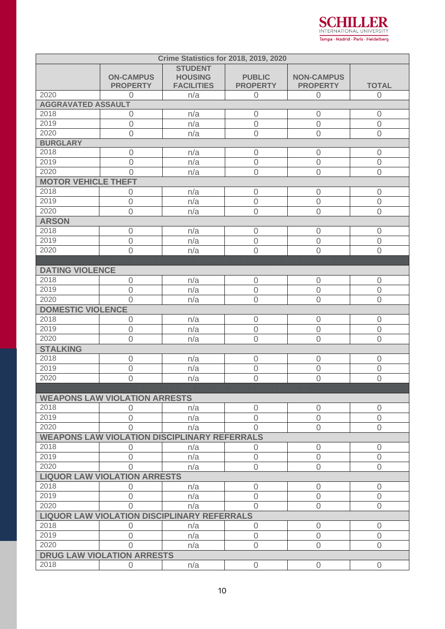$\mathbf S$ R INTERNATIONAL UNIVERSITY Tampa · Madrid · Paris · Heidelberg

| <b>Crime Statistics for 2018, 2019, 2020</b> |                                                     |                                                       |                                  |                                      |                |  |
|----------------------------------------------|-----------------------------------------------------|-------------------------------------------------------|----------------------------------|--------------------------------------|----------------|--|
|                                              | <b>ON-CAMPUS</b><br><b>PROPERTY</b>                 | <b>STUDENT</b><br><b>HOUSING</b><br><b>FACILITIES</b> | <b>PUBLIC</b><br><b>PROPERTY</b> | <b>NON-CAMPUS</b><br><b>PROPERTY</b> | <b>TOTAL</b>   |  |
| 2020                                         | $\overline{0}$                                      | n/a                                                   | $\boldsymbol{0}$                 | $\theta$                             | $\overline{0}$ |  |
| <b>AGGRAVATED ASSAULT</b>                    |                                                     |                                                       |                                  |                                      |                |  |
| 2018                                         | $\overline{0}$                                      | n/a                                                   | $\overline{0}$                   | $\overline{0}$                       | $\overline{0}$ |  |
| 2019                                         | $\overline{0}$                                      | n/a                                                   | $\sqrt{a}$                       | $\overline{0}$                       | $\overline{0}$ |  |
| 2020                                         | $\overline{0}$                                      | n/a                                                   | $\overline{0}$                   | $\overline{0}$                       | $\overline{0}$ |  |
| <b>BURGLARY</b>                              |                                                     |                                                       |                                  |                                      |                |  |
| 2018                                         | $\overline{0}$                                      | n/a                                                   | $\overline{0}$                   | $\mathbf 0$                          | $\mathbf 0$    |  |
| 2019                                         | $\mathbf 0$                                         | n/a                                                   | $\mathbf 0$                      | $\mathbf 0$                          | $\mathbf 0$    |  |
| 2020                                         | $\Omega$                                            | n/a                                                   | $\overline{0}$                   | $\overline{0}$                       | $\overline{0}$ |  |
| <b>MOTOR VEHICLE THEFT</b>                   |                                                     |                                                       |                                  |                                      |                |  |
| 2018                                         | $\mathbf 0$                                         | n/a                                                   | $\overline{0}$                   | $\sqrt{a}$                           | $\mathbf 0$    |  |
| 2019                                         | $\mathbf 0$                                         | n/a                                                   | $\mathbf 0$                      | $\mathbf 0$                          | $\mathbf 0$    |  |
| 2020                                         | $\overline{0}$                                      | n/a                                                   | $\overline{0}$                   | $\overline{0}$                       | $\overline{0}$ |  |
| <b>ARSON</b>                                 |                                                     |                                                       |                                  |                                      |                |  |
| 2018                                         | $\overline{0}$                                      | n/a                                                   | $\overline{0}$                   | $\overline{0}$                       | $\overline{0}$ |  |
| 2019                                         | $\mathbf 0$                                         | n/a                                                   | $\mathbf 0$                      | $\mathbf 0$                          | $\mathbf 0$    |  |
| 2020                                         | $\overline{0}$                                      | n/a                                                   | $\overline{0}$                   | $\overline{0}$                       | $\overline{0}$ |  |
|                                              |                                                     |                                                       |                                  |                                      |                |  |
| <b>DATING VIOLENCE</b>                       |                                                     |                                                       |                                  |                                      |                |  |
| 2018                                         | $\mathbf 0$                                         | n/a                                                   | $\sqrt{a}$                       | $\sqrt{a}$                           | $\overline{0}$ |  |
| 2019                                         | $\overline{0}$                                      | n/a                                                   | $\overline{0}$                   | $\mathbf 0$                          | $\mathbf 0$    |  |
| 2020                                         | $\overline{0}$                                      | n/a                                                   | $\overline{0}$                   | $\mathbf 0$                          | $\overline{0}$ |  |
| <b>DOMESTIC VIOLENCE</b>                     |                                                     |                                                       |                                  |                                      |                |  |
| 2018                                         | $\overline{0}$                                      | n/a                                                   | $\sqrt{a}$                       | $\sqrt{a}$                           | $\mathbf 0$    |  |
| 2019                                         | $\mathbf 0$                                         | n/a                                                   | $\sqrt{a}$                       | $\overline{0}$                       | $\overline{0}$ |  |
| 2020                                         | $\overline{0}$                                      | n/a                                                   | $\overline{0}$                   | $\mathbf 0$                          | $\overline{0}$ |  |
| <b>STALKING</b>                              |                                                     |                                                       |                                  |                                      |                |  |
| 2018                                         | $\mathbf 0$                                         | n/a                                                   | $\sqrt{a}$                       | $\mathbf 0$                          | $\mathbf 0$    |  |
| 2019                                         | $\mathbf 0$                                         | n/a                                                   | $\sqrt{a}$                       | $\sqrt{a}$                           | $\mathbf 0$    |  |
| 2020                                         | $\overline{0}$                                      | n/a                                                   | $\overline{0}$                   | $\overline{0}$                       | $\overline{0}$ |  |
|                                              |                                                     |                                                       |                                  |                                      |                |  |
|                                              | <b>WEAPONS LAW VIOLATION ARRESTS</b>                |                                                       |                                  |                                      |                |  |
| 2018                                         | 0                                                   | n/a                                                   | $\overline{0}$                   | $\mathbf 0$                          | $\mathbf 0$    |  |
| 2019                                         | $\overline{0}$                                      | n/a                                                   | $\sqrt{a}$                       | $\sqrt{a}$                           | $\mathbf 0$    |  |
| 2020                                         | $\overline{0}$                                      | n/a                                                   | $\Omega$                         | $\overline{0}$                       | $\overline{0}$ |  |
|                                              | <b>WEAPONS LAW VIOLATION DISCIPLINARY REFERRALS</b> |                                                       |                                  |                                      |                |  |
| 2018                                         | 0                                                   | n/a                                                   | $\overline{0}$                   | $\sqrt{a}$                           | $\overline{0}$ |  |
| 2019                                         | $\mathbf 0$                                         | n/a                                                   | $\mathbf 0$                      | $\mathbf 0$                          | $\mathbf 0$    |  |
| 2020                                         | $\Omega$                                            | n/a                                                   | $\sqrt{a}$                       | $\overline{0}$                       | $\overline{0}$ |  |
| <b>LIQUOR LAW VIOLATION ARRESTS</b>          |                                                     |                                                       |                                  |                                      |                |  |
| 2018                                         | 0                                                   | n/a                                                   | $\overline{0}$                   | $\overline{0}$                       | $\overline{0}$ |  |
| 2019                                         | $\overline{0}$                                      | n/a                                                   | $\overline{0}$                   | $\sqrt{a}$                           | $\overline{0}$ |  |
| 2020                                         | 0                                                   | n/a                                                   | $\overline{0}$                   | $\overline{0}$                       | $\overline{0}$ |  |
|                                              | <b>LIQUOR LAW VIOLATION DISCIPLINARY REFERRALS</b>  |                                                       |                                  |                                      |                |  |
| 2018                                         | 0                                                   | n/a                                                   | $\overline{0}$                   | $\overline{0}$                       | $\overline{0}$ |  |
| 2019                                         | $\overline{0}$                                      | n/a                                                   | $\overline{0}$                   | $\overline{0}$                       | $\overline{0}$ |  |
| 2020                                         | $\overline{0}$                                      | n/a                                                   | $\sqrt{a}$                       | $\overline{0}$                       | $\overline{0}$ |  |
|                                              | <b>DRUG LAW VIOLATION ARRESTS</b>                   |                                                       |                                  |                                      |                |  |
| 2018                                         | $\mathbf 0$                                         | n/a                                                   | $\overline{0}$                   | $\overline{0}$                       | $\overline{0}$ |  |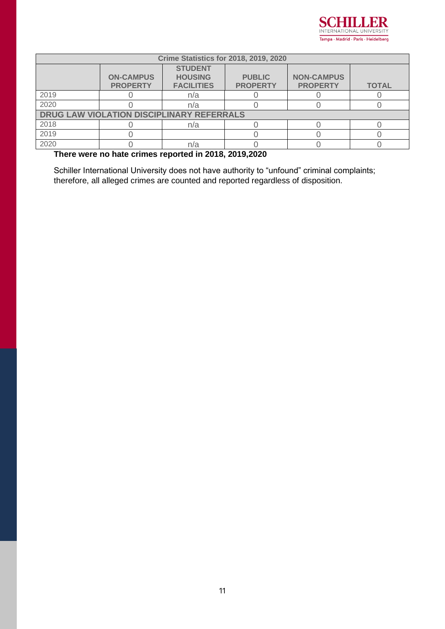

| <b>Crime Statistics for 2018, 2019, 2020</b>     |                                     |                                                       |                                  |                                      |              |
|--------------------------------------------------|-------------------------------------|-------------------------------------------------------|----------------------------------|--------------------------------------|--------------|
|                                                  | <b>ON-CAMPUS</b><br><b>PROPERTY</b> | <b>STUDENT</b><br><b>HOUSING</b><br><b>FACILITIES</b> | <b>PUBLIC</b><br><b>PROPERTY</b> | <b>NON-CAMPUS</b><br><b>PROPERTY</b> | <b>TOTAL</b> |
| 2019                                             |                                     | n/a                                                   |                                  |                                      |              |
| 2020                                             |                                     | n/a                                                   |                                  |                                      |              |
| <b>DRUG LAW VIOLATION DISCIPLINARY REFERRALS</b> |                                     |                                                       |                                  |                                      |              |
| 2018                                             |                                     | n/a                                                   |                                  |                                      |              |
| 2019                                             |                                     |                                                       |                                  |                                      |              |
| 2020                                             |                                     | n/a                                                   |                                  |                                      |              |

**There were no hate crimes reported in 2018, 2019,2020**

Schiller International University does not have authority to "unfound" criminal complaints; therefore, all alleged crimes are counted and reported regardless of disposition.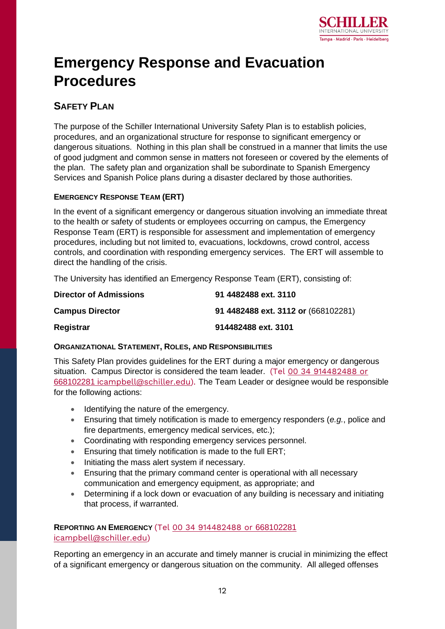

## **Emergency Response and Evacuation Procedures**

### **SAFETY PLAN**

The purpose of the Schiller International University Safety Plan is to establish policies, procedures, and an organizational structure for response to significant emergency or dangerous situations. Nothing in this plan shall be construed in a manner that limits the use of good judgment and common sense in matters not foreseen or covered by the elements of the plan. The safety plan and organization shall be subordinate to Spanish Emergency Services and Spanish Police plans during a disaster declared by those authorities.

#### **EMERGENCY RESPONSE TEAM (ERT)**

In the event of a significant emergency or dangerous situation involving an immediate threat to the health or safety of students or employees occurring on campus, the Emergency Response Team (ERT) is responsible for assessment and implementation of emergency procedures, including but not limited to, evacuations, lockdowns, crowd control, access controls, and coordination with responding emergency services. The ERT will assemble to direct the handling of the crisis.

The University has identified an Emergency Response Team (ERT), consisting of:

| <b>Director of Admissions</b> | 91 4482488 ext. 3110                |
|-------------------------------|-------------------------------------|
| <b>Campus Director</b>        | 91 4482488 ext. 3112 or (668102281) |
| Registrar                     | 914482488 ext. 3101                 |

#### **ORGANIZATIONAL STATEMENT, ROLES, AND RESPONSIBILITIES**

This Safety Plan provides guidelines for the ERT during a major emergency or dangerous situation. Campus Director is considered the team leader. (Tel 00 34 [914482488](mailto:914482488%20or%20668102281%20/icampbell@schiller.edu) or [668102281](mailto:914482488%20or%20668102281%20/icampbell@schiller.edu) i[campbell@schiller.edu\)](mailto:914482488%20or%20668102281%20/icampbell@schiller.edu). The Team Leader or designee would be responsible for the following actions:

- Identifying the nature of the emergency.
- Ensuring that timely notification is made to emergency responders (*e.g.*, police and fire departments, emergency medical services, etc.);
- Coordinating with responding emergency services personnel.
- Ensuring that timely notification is made to the full ERT;
- Initiating the mass alert system if necessary.
- Ensuring that the primary command center is operational with all necessary communication and emergency equipment, as appropriate; and
- Determining if a lock down or evacuation of any building is necessary and initiating that process, if warranted.

#### **REPORTING AN EMERGENCY** (Tel 00 34 [914482488](mailto:914482488%20or%20668102281%20/icampbell@schiller.edu) or 66810228[1](mailto:914482488%20or%20668102281%20/icampbell@schiller.edu) i[campbell@schiller.edu\)](mailto:914482488%20or%20668102281%20/icampbell@schiller.edu)

Reporting an emergency in an accurate and timely manner is crucial in minimizing the effect of a significant emergency or dangerous situation on the community. All alleged offenses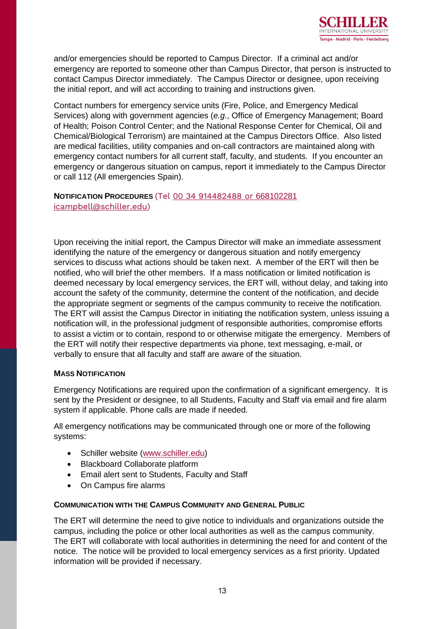

and/or emergencies should be reported to Campus Director. If a criminal act and/or emergency are reported to someone other than Campus Director, that person is instructed to contact Campus Director immediately. The Campus Director or designee, upon receiving the initial report, and will act according to training and instructions given.

Contact numbers for emergency service units (Fire, Police, and Emergency Medical Services) along with government agencies (*e.g.*, Office of Emergency Management; Board of Health; Poison Control Center; and the National Response Center for Chemical, Oil and Chemical/Biological Terrorism) are maintained at the Campus Directors Office. Also listed are medical facilities, utility companies and on-call contractors are maintained along with emergency contact numbers for all current staff, faculty, and students. If you encounter an emergency or dangerous situation on campus, report it immediately to the Campus Director or call 112 (All emergencies Spain).

#### **NOTIFICATION PROCEDURES** (Tel 00 34 [914482488](mailto:914482488%20or%20668102281%20/icampbell@schiller.edu) or 66810228[1](mailto:914482488%20or%20668102281%20/icampbell@schiller.edu) i[campbell@schiller.edu\)](mailto:914482488%20or%20668102281%20/icampbell@schiller.edu)

Upon receiving the initial report, the Campus Director will make an immediate assessment identifying the nature of the emergency or dangerous situation and notify emergency services to discuss what actions should be taken next. A member of the ERT will then be notified, who will brief the other members. If a mass notification or limited notification is deemed necessary by local emergency services, the ERT will, without delay, and taking into account the safety of the community, determine the content of the notification, and decide the appropriate segment or segments of the campus community to receive the notification. The ERT will assist the Campus Director in initiating the notification system, unless issuing a notification will, in the professional judgment of responsible authorities, compromise efforts to assist a victim or to contain, respond to or otherwise mitigate the emergency. Members of the ERT will notify their respective departments via phone, text messaging, e-mail, or verbally to ensure that all faculty and staff are aware of the situation.

#### **MASS NOTIFICATION**

Emergency Notifications are required upon the confirmation of a significant emergency. It is sent by the President or designee, to all Students, Faculty and Staff via email and fire alarm system if applicable. Phone calls are made if needed.

All emergency notifications may be communicated through one or more of the following systems:

- Schiller website [\(www.schiller.edu\)](http://www.schiller.edu/)
- Blackboard Collaborate platform
- Email alert sent to Students, Faculty and Staff
- On Campus fire alarms

#### **COMMUNICATION WITH THE CAMPUS COMMUNITY AND GENERAL PUBLIC**

The ERT will determine the need to give notice to individuals and organizations outside the campus, including the police or other local authorities as well as the campus community. The ERT will collaborate with local authorities in determining the need for and content of the notice. The notice will be provided to local emergency services as a first priority. Updated information will be provided if necessary.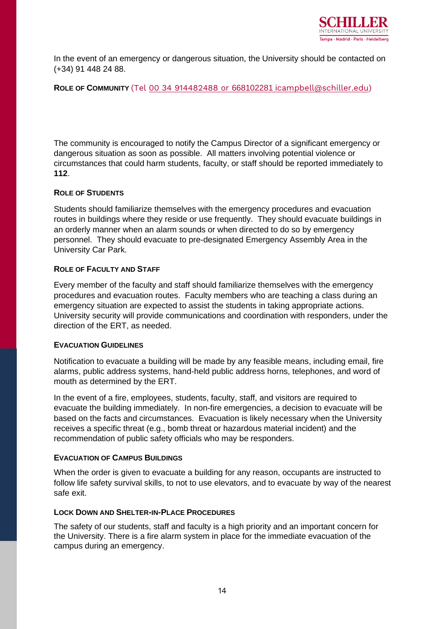

In the event of an emergency or dangerous situation, the University should be contacted on (+34) 91 448 24 88.

#### **ROLE OF COMMUNITY** (Tel 00 34 914482488 or 668102281 i[campbell@schiller.edu\)](mailto:914482488%20or%20668102281%20/icampbell@schiller.edu)

The community is encouraged to notify the Campus Director of a significant emergency or dangerous situation as soon as possible. All matters involving potential violence or circumstances that could harm students, faculty, or staff should be reported immediately to **112**.

#### **ROLE OF STUDENTS**

Students should familiarize themselves with the emergency procedures and evacuation routes in buildings where they reside or use frequently. They should evacuate buildings in an orderly manner when an alarm sounds or when directed to do so by emergency personnel. They should evacuate to pre-designated Emergency Assembly Area in the University Car Park.

#### **ROLE OF FACULTY AND STAFF**

Every member of the faculty and staff should familiarize themselves with the emergency procedures and evacuation routes. Faculty members who are teaching a class during an emergency situation are expected to assist the students in taking appropriate actions. University security will provide communications and coordination with responders, under the direction of the ERT, as needed.

#### **EVACUATION GUIDELINES**

Notification to evacuate a building will be made by any feasible means, including email, fire alarms, public address systems, hand-held public address horns, telephones, and word of mouth as determined by the ERT.

In the event of a fire, employees, students, faculty, staff, and visitors are required to evacuate the building immediately. In non-fire emergencies, a decision to evacuate will be based on the facts and circumstances. Evacuation is likely necessary when the University receives a specific threat (e.g., bomb threat or hazardous material incident) and the recommendation of public safety officials who may be responders.

#### **EVACUATION OF CAMPUS BUILDINGS**

When the order is given to evacuate a building for any reason, occupants are instructed to follow life safety survival skills, to not to use elevators, and to evacuate by way of the nearest safe exit.

#### **LOCK DOWN AND SHELTER-IN-PLACE PROCEDURES**

The safety of our students, staff and faculty is a high priority and an important concern for the University. There is a fire alarm system in place for the immediate evacuation of the campus during an emergency.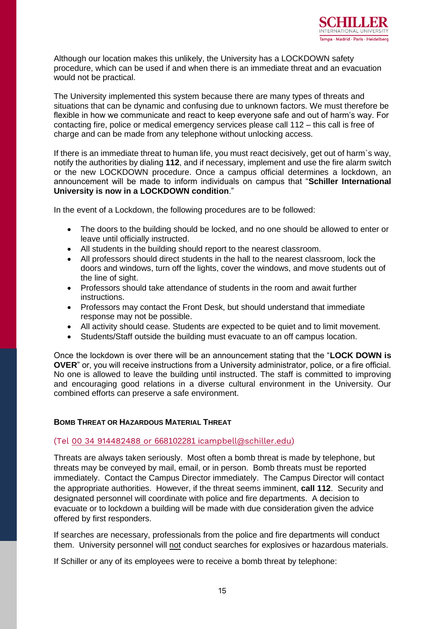

Although our location makes this unlikely, the University has a LOCKDOWN safety procedure, which can be used if and when there is an immediate threat and an evacuation would not be practical.

The University implemented this system because there are many types of threats and situations that can be dynamic and confusing due to unknown factors. We must therefore be flexible in how we communicate and react to keep everyone safe and out of harm's way. For contacting fire, police or medical emergency services please call 112 – this call is free of charge and can be made from any telephone without unlocking access.

If there is an immediate threat to human life, you must react decisively, get out of harm`s way, notify the authorities by dialing **112**, and if necessary, implement and use the fire alarm switch or the new LOCKDOWN procedure. Once a campus official determines a lockdown, an announcement will be made to inform individuals on campus that "**Schiller International University is now in a LOCKDOWN condition**."

In the event of a Lockdown, the following procedures are to be followed:

- The doors to the building should be locked, and no one should be allowed to enter or leave until officially instructed.
- All students in the building should report to the nearest classroom.
- All professors should direct students in the hall to the nearest classroom, lock the doors and windows, turn off the lights, cover the windows, and move students out of the line of sight.
- Professors should take attendance of students in the room and await further instructions.
- Professors may contact the Front Desk, but should understand that immediate response may not be possible.
- All activity should cease. Students are expected to be quiet and to limit movement.
- Students/Staff outside the building must evacuate to an off campus location.

Once the lockdown is over there will be an announcement stating that the "**LOCK DOWN is OVER**" or, you will receive instructions from a University administrator, police, or a fire official. No one is allowed to leave the building until instructed. The staff is committed to improving and encouraging good relations in a diverse cultural environment in the University. Our combined efforts can preserve a safe environment.

#### **BOMB THREAT OR HAZARDOUS MATERIAL THREAT**

#### (Tel 00 34 914482488 or 668102281 i[campbell@schiller.edu\)](mailto:914482488%20or%20668102281%20/icampbell@schiller.edu)

Threats are always taken seriously. Most often a bomb threat is made by telephone, but threats may be conveyed by mail, email, or in person. Bomb threats must be reported immediately. Contact the Campus Director immediately. The Campus Director will contact the appropriate authorities. However, if the threat seems imminent, **call 112**. Security and designated personnel will coordinate with police and fire departments. A decision to evacuate or to lockdown a building will be made with due consideration given the advice offered by first responders.

If searches are necessary, professionals from the police and fire departments will conduct them. University personnel will not conduct searches for explosives or hazardous materials.

If Schiller or any of its employees were to receive a bomb threat by telephone: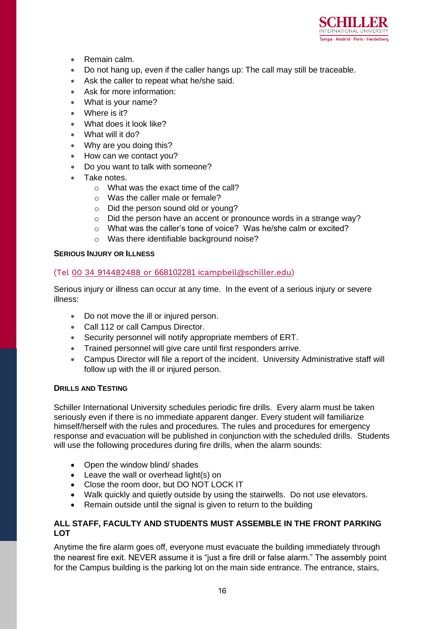

- Remain calm.
- Do not hang up, even if the caller hangs up: The call may still be traceable.
- Ask the caller to repeat what he/she said.
- Ask for more information:
- What is your name?
- Where is it?
- What does it look like?
- What will it do?
- Why are you doing this?
- How can we contact you?
- Do you want to talk with someone?
- Take notes.
	- o What was the exact time of the call?
	- o Was the caller male or female?
	- o Did the person sound old or young?
	- o Did the person have an accent or pronounce words in a strange way?
	- o What was the caller's tone of voice? Was he/she calm or excited?
	- o Was there identifiable background noise?

#### **SERIOUS INJURY OR ILLNESS**

#### (Tel 00 34 914482488 or 668102281 i[campbell@schiller.edu\)](mailto:914482488%20or%20668102281%20/icampbell@schiller.edu)

Serious injury or illness can occur at any time. In the event of a serious injury or severe illness:

- Do not move the ill or injured person.
- Call 112 or call Campus Director.
- Security personnel will notify appropriate members of ERT.
- Trained personnel will give care until first responders arrive.
- Campus Director will file a report of the incident. University Administrative staff will follow up with the ill or injured person.

#### **DRILLS AND TESTING**

Schiller International University schedules periodic fire drills. Every alarm must be taken seriously even if there is no immediate apparent danger. Every student will familiarize himself/herself with the rules and procedures. The rules and procedures for emergency response and evacuation will be published in conjunction with the scheduled drills. Students will use the following procedures during fire drills, when the alarm sounds:

- Open the window blind/ shades
- Leave the wall or overhead light(s) on
- Close the room door, but DO NOT LOCK IT
- Walk quickly and quietly outside by using the stairwells. Do not use elevators.
- Remain outside until the signal is given to return to the building

#### **ALL STAFF, FACULTY AND STUDENTS MUST ASSEMBLE IN THE FRONT PARKING LOT**

Anytime the fire alarm goes off, everyone must evacuate the building immediately through the nearest fire exit. NEVER assume it is "just a fire drill or false alarm." The assembly point for the Campus building is the parking lot on the main side entrance. The entrance, stairs,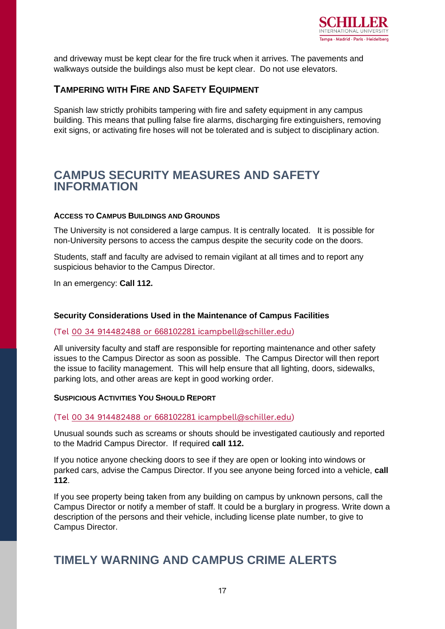

and driveway must be kept clear for the fire truck when it arrives. The pavements and walkways outside the buildings also must be kept clear. Do not use elevators.

#### **TAMPERING WITH FIRE AND SAFETY EQUIPMENT**

Spanish law strictly prohibits tampering with fire and safety equipment in any campus building. This means that pulling false fire alarms, discharging fire extinguishers, removing exit signs, or activating fire hoses will not be tolerated and is subject to disciplinary action.

### **CAMPUS SECURITY MEASURES AND SAFETY INFORMATION**

#### **ACCESS TO CAMPUS BUILDINGS AND GROUNDS**

The University is not considered a large campus. It is centrally located. It is possible for non-University persons to access the campus despite the security code on the doors.

Students, staff and faculty are advised to remain vigilant at all times and to report any suspicious behavior to the Campus Director.

In an emergency: **Call 112.**

#### **Security Considerations Used in the Maintenance of Campus Facilities**

#### (Tel 00 34 914482488 or 668102281 i[campbell@schiller.edu\)](mailto:914482488%20or%20668102281%20/icampbell@schiller.edu)

All university faculty and staff are responsible for reporting maintenance and other safety issues to the Campus Director as soon as possible. The Campus Director will then report the issue to facility management. This will help ensure that all lighting, doors, sidewalks, parking lots, and other areas are kept in good working order.

#### **SUSPICIOUS ACTIVITIES YOU SHOULD REPORT**

#### (Tel 00 34 914482488 or 668102281 i[campbell@schiller.edu\)](mailto:914482488%20or%20668102281%20/icampbell@schiller.edu)

Unusual sounds such as screams or shouts should be investigated cautiously and reported to the Madrid Campus Director. If required **call 112.**

If you notice anyone checking doors to see if they are open or looking into windows or parked cars, advise the Campus Director. If you see anyone being forced into a vehicle, **call 112**.

If you see property being taken from any building on campus by unknown persons, call the Campus Director or notify a member of staff. It could be a burglary in progress. Write down a description of the persons and their vehicle, including license plate number, to give to Campus Director.

## **TIMELY WARNING AND CAMPUS CRIME ALERTS**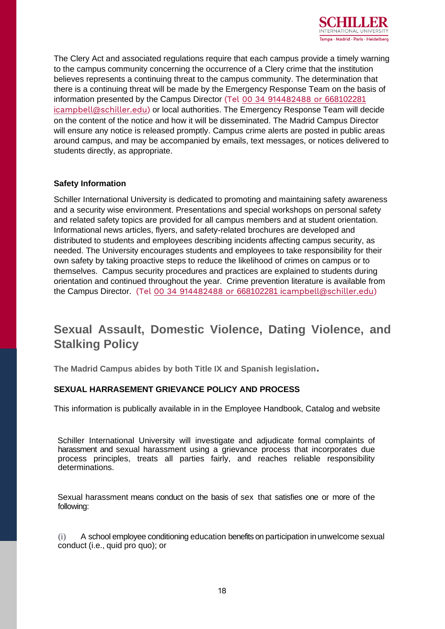

The Clery Act and associated regulations require that each campus provide a timely warning to the campus community concerning the occurrence of a Clery crime that the institution believes represents a continuing threat to the campus community. The determination that there is a continuing threat will be made by the Emergency Response Team on the basis of information presented by the Campus Director (Tel 00 34 [914482488](mailto:914482488%20or%20668102281%20/icampbell@schiller.edu) or 66810228[1](mailto:914482488%20or%20668102281%20/icampbell@schiller.edu) i[campbell@schiller.edu\)](mailto:914482488%20or%20668102281%20/icampbell@schiller.edu) or local authorities. The Emergency Response Team will decide on the content of the notice and how it will be disseminated. The Madrid Campus Director will ensure any notice is released promptly. Campus crime alerts are posted in public areas around campus, and may be accompanied by emails, text messages, or notices delivered to students directly, as appropriate.

#### **Safety Information**

Schiller International University is dedicated to promoting and maintaining safety awareness and a security wise environment. Presentations and special workshops on personal safety and related safety topics are provided for all campus members and at student orientation. Informational news articles, flyers, and safety-related brochures are developed and distributed to students and employees describing incidents affecting campus security, as needed. The University encourages students and employees to take responsibility for their own safety by taking proactive steps to reduce the likelihood of crimes on campus or to themselves. Campus security procedures and practices are explained to students during orientation and continued throughout the year. Crime prevention literature is available from the Campus Director. (Tel 00 34 914482488 or 668102281 i[campbell@schiller.edu\)](mailto:914482488%20or%20668102281%20/icampbell@schiller.edu)

## **Sexual Assault, Domestic Violence, Dating Violence, and Stalking Policy**

**The Madrid Campus abides by both Title IX and Spanish legislation.**

#### **SEXUAL HARRASEMENT GRIEVANCE POLICY AND PROCESS**

This information is publically available in in the Employee Handbook, Catalog and website

Schiller International University will investigate and adjudicate formal complaints of harassment and sexual harassment using a grievance process that incorporates due process principles, treats all parties fairly, and reaches reliable responsibility determinations.

Sexual harassment means conduct on the basis of sex that satisfies one or more of the following:

(i) A school employee conditioning education benefits on participation inunwelcome sexual conduct (i.e., quid pro quo); or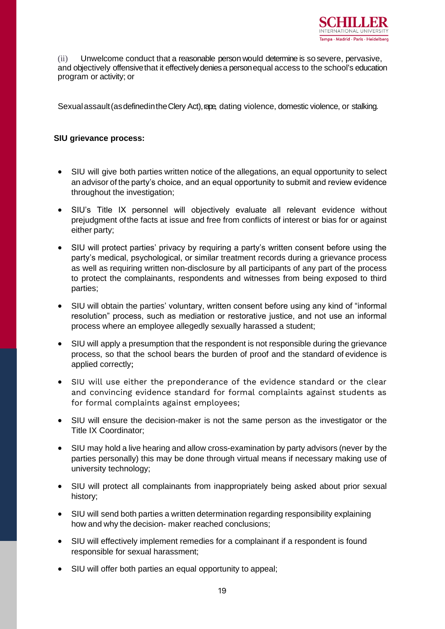

(ii) Unwelcome conduct that a reasonable person would determine is so severe, pervasive, and objectively offensive that it effectively denies a person equal access to the school's education program or activity; or

Sexual assault (as defined in the Clery Act), rape, dating violence, domestic violence, or stalking.

#### **SIU grievance process:**

- SIU will give both parties written notice of the allegations, an equal opportunity to select an advisor of the party's choice, and an equal opportunity to submit and review evidence throughout the investigation;
- SIU's Title IX personnel will objectively evaluate all relevant evidence without prejudgment ofthe facts at issue and free from conflicts of interest or bias for or against either party;
- SIU will protect parties' privacy by requiring a party's written consent before using the party's medical, psychological, or similar treatment records during a grievance process as well as requiring written non-disclosure by all participants of any part of the process to protect the complainants, respondents and witnesses from being exposed to third parties;
- SIU will obtain the parties' voluntary, written consent before using any kind of "informal resolution" process, such as mediation or restorative justice, and not use an informal process where an employee allegedly sexually harassed a student;
- SIU will apply a presumption that the respondent is not responsible during the grievance process, so that the school bears the burden of proof and the standard of evidence is applied correctly;
- SIU will use either the preponderance of the evidence standard or the clear and convincing evidence standard for formal complaints against students as for formal complaints against employees;
- SIU will ensure the decision-maker is not the same person as the investigator or the Title IX Coordinator;
- SIU may hold a live hearing and allow cross-examination by party advisors (never by the parties personally) this may be done through virtual means if necessary making use of university technology;
- SIU will protect all complainants from inappropriately being asked about prior sexual history;
- SIU will send both parties a written determination regarding responsibility explaining how and why the decision- maker reached conclusions;
- SIU will effectively implement remedies for a complainant if a respondent is found responsible for sexual harassment;
- SIU will offer both parties an equal opportunity to appeal;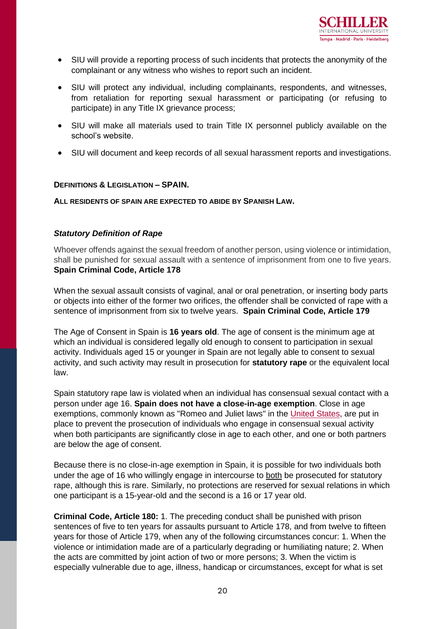- SIU will provide a reporting process of such incidents that protects the anonymity of the complainant or any witness who wishes to report such an incident.
- SIU will protect any individual, including complainants, respondents, and witnesses, from retaliation for reporting sexual harassment or participating (or refusing to participate) in any Title IX grievance process;
- SIU will make all materials used to train Title IX personnel publicly available on the school's website.
- SIU will document and keep records of all sexual harassment reports and investigations.

#### **DEFINITIONS & LEGISLATION – SPAIN.**

**ALL RESIDENTS OF SPAIN ARE EXPECTED TO ABIDE BY SPANISH LAW.**

#### *Statutory Definition of Rape*

Whoever offends against the sexual freedom of another person, using violence or intimidation, shall be punished for sexual assault with a sentence of imprisonment from one to five years. **Spain Criminal Code, Article 178**

When the sexual assault consists of vaginal, anal or oral penetration, or inserting body parts or objects into either of the former two orifices, the offender shall be convicted of rape with a sentence of imprisonment from six to twelve years. **Spain Criminal Code, Article 179**

The Age of Consent in Spain is **16 years old**. The age of consent is the minimum age at which an individual is considered legally old enough to consent to participation in sexual activity. Individuals aged 15 or younger in Spain are not legally able to consent to sexual activity, and such activity may result in prosecution for **statutory rape** or the equivalent local law.

Spain statutory rape law is violated when an individual has consensual sexual contact with a person under age 16. **Spain does not have a close-in-age exemption**. Close in age exemptions, commonly known as "Romeo and Juliet laws" in the [United States,](https://www.ageofconsent.net/states) are put in place to prevent the prosecution of individuals who engage in consensual sexual activity when both participants are significantly close in age to each other, and one or both partners are below the age of consent.

Because there is no close-in-age exemption in Spain, it is possible for two individuals both under the age of 16 who willingly engage in intercourse to both be prosecuted for statutory rape, although this is rare. Similarly, no protections are reserved for sexual relations in which one participant is a 15-year-old and the second is a 16 or 17 year old.

**Criminal Code, Article 180:** 1. The preceding conduct shall be punished with prison sentences of five to ten years for assaults pursuant to Article 178, and from twelve to fifteen years for those of Article 179, when any of the following circumstances concur: 1. When the violence or intimidation made are of a particularly degrading or humiliating nature; 2. When the acts are committed by joint action of two or more persons; 3. When the victim is especially vulnerable due to age, illness, handicap or circumstances, except for what is set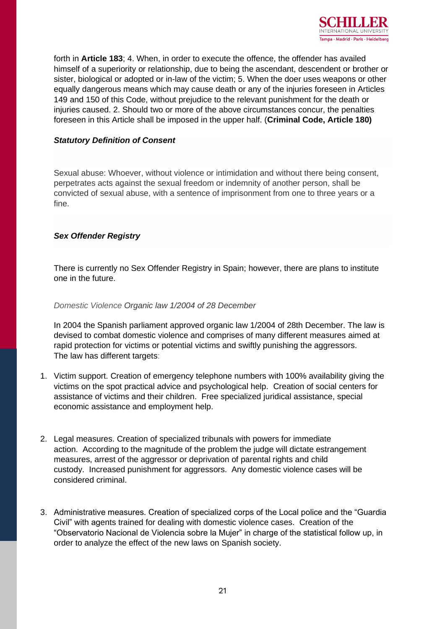

forth in **Article 183**; 4. When, in order to execute the offence, the offender has availed himself of a superiority or relationship, due to being the ascendant, descendent or brother or sister, biological or adopted or in-law of the victim; 5. When the doer uses weapons or other equally dangerous means which may cause death or any of the injuries foreseen in Articles 149 and 150 of this Code, without prejudice to the relevant punishment for the death or injuries caused. 2. Should two or more of the above circumstances concur, the penalties foreseen in this Article shall be imposed in the upper half. (**Criminal Code, Article 180)**

#### *Statutory Definition of Consent*

Sexual abuse: Whoever, without violence or intimidation and without there being consent, perpetrates acts against the sexual freedom or indemnity of another person, shall be convicted of sexual abuse, with a sentence of imprisonment from one to three years or a fine.

#### *Sex Offender Registry*

There is currently no Sex Offender Registry in Spain; however, there are plans to institute one in the future.

#### *Domestic Violence Organic law 1/2004 of 28 December*

In 2004 the Spanish parliament approved organic law 1/2004 of 28th December. The law is devised to combat domestic violence and comprises of many different measures aimed at rapid protection for victims or potential victims and swiftly punishing the aggressors. The law has different targets:

- 1. Victim support. Creation of emergency telephone numbers with 100% availability giving the victims on the spot practical advice and psychological help. Creation of social centers for assistance of victims and their children. Free specialized juridical assistance, special economic assistance and employment help.
- 2. Legal measures. Creation of specialized tribunals with powers for immediate action. According to the magnitude of the problem the judge will dictate estrangement measures, arrest of the aggressor or deprivation of parental rights and child custody. Increased punishment for aggressors. Any domestic violence cases will be considered criminal.
- 3. Administrative measures. Creation of specialized corps of the Local police and the "Guardia Civil" with agents trained for dealing with domestic violence cases. Creation of the "Observatorio Nacional de Violencia sobre la Mujer" in charge of the statistical follow up, in order to analyze the effect of the new laws on Spanish society.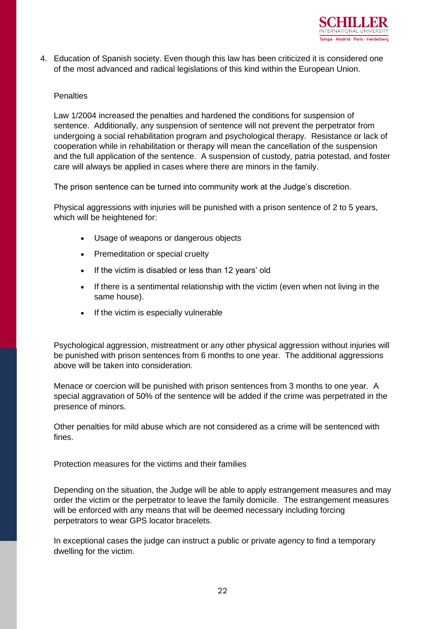

4. Education of Spanish society. Even though this law has been criticized it is considered one of the most advanced and radical legislations of this kind within the European Union.

#### Penalties

Law 1/2004 increased the penalties and hardened the conditions for suspension of sentence. Additionally, any suspension of sentence will not prevent the perpetrator from undergoing a social rehabilitation program and psychological therapy. Resistance or lack of cooperation while in rehabilitation or therapy will mean the cancellation of the suspension and the full application of the sentence. A suspension of custody, patria potestad, and foster care will always be applied in cases where there are minors in the family.

The prison sentence can be turned into community work at the Judge's discretion.

Physical aggressions with injuries will be punished with a prison sentence of 2 to 5 years, which will be heightened for:

- Usage of weapons or dangerous objects
- Premeditation or special cruelty
- If the victim is disabled or less than 12 years' old
- If there is a sentimental relationship with the victim (even when not living in the same house).
- If the victim is especially vulnerable

Psychological aggression, mistreatment or any other physical aggression without injuries will be punished with prison sentences from 6 months to one year. The additional aggressions above will be taken into consideration.

Menace or coercion will be punished with prison sentences from 3 months to one year. A special aggravation of 50% of the sentence will be added if the crime was perpetrated in the presence of minors.

Other penalties for mild abuse which are not considered as a crime will be sentenced with fines.

Protection measures for the victims and their families

Depending on the situation, the Judge will be able to apply estrangement measures and may order the victim or the perpetrator to leave the family domicile. The estrangement measures will be enforced with any means that will be deemed necessary including forcing perpetrators to wear GPS locator bracelets.

In exceptional cases the judge can instruct a public or private agency to find a temporary dwelling for the victim.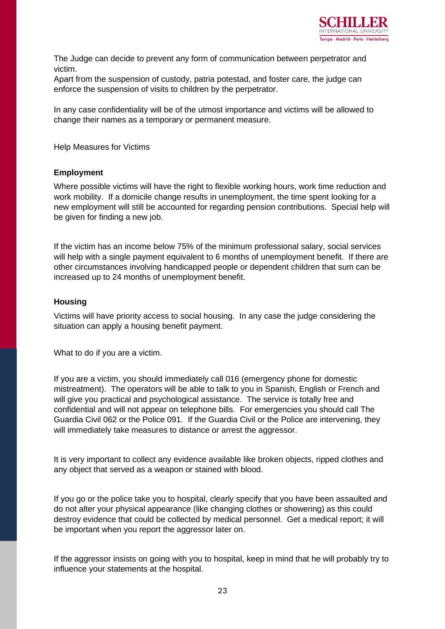

The Judge can decide to prevent any form of communication between perpetrator and victim.

Apart from the suspension of custody, patria potestad, and foster care, the judge can enforce the suspension of visits to children by the perpetrator.

In any case confidentiality will be of the utmost importance and victims will be allowed to change their names as a temporary or permanent measure.

Help Measures for Victims

#### **Employment**

Where possible victims will have the right to flexible working hours, work time reduction and work mobility. If a domicile change results in unemployment, the time spent looking for a new employment will still be accounted for regarding pension contributions. Special help will be given for finding a new job.

If the victim has an income below 75% of the minimum professional salary, social services will help with a single payment equivalent to 6 months of unemployment benefit. If there are other circumstances involving handicapped people or dependent children that sum can be increased up to 24 months of unemployment benefit.

#### **Housing**

Victims will have priority access to social housing. In any case the judge considering the situation can apply a housing benefit payment.

What to do if you are a victim.

If you are a victim, you should immediately call 016 (emergency phone for domestic mistreatment). The operators will be able to talk to you in Spanish, English or French and will give you practical and psychological assistance. The service is totally free and confidential and will not appear on telephone bills. For emergencies you should call The Guardia Civil 062 or the Police 091. If the Guardia Civil or the Police are intervening, they will immediately take measures to distance or arrest the aggressor.

It is very important to collect any evidence available like broken objects, ripped clothes and any object that served as a weapon or stained with blood.

If you go or the police take you to hospital, clearly specify that you have been assaulted and do not alter your physical appearance (like changing clothes or showering) as this could destroy evidence that could be collected by medical personnel. Get a medical report; it will be important when you report the aggressor later on.

If the aggressor insists on going with you to hospital, keep in mind that he will probably try to influence your statements at the hospital.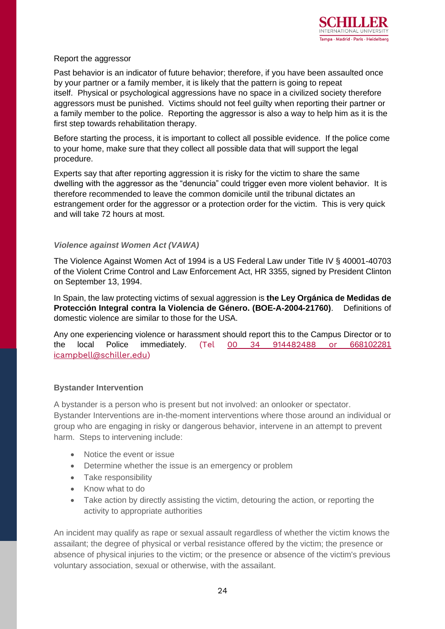

#### Report the aggressor

Past behavior is an indicator of future behavior; therefore, if you have been assaulted once by your partner or a family member, it is likely that the pattern is going to repeat itself. Physical or psychological aggressions have no space in a civilized society therefore aggressors must be punished. Victims should not feel guilty when reporting their partner or a family member to the police. Reporting the aggressor is also a way to help him as it is the first step towards rehabilitation therapy.

Before starting the process, it is important to collect all possible evidence. If the police come to your home, make sure that they collect all possible data that will support the legal procedure.

Experts say that after reporting aggression it is risky for the victim to share the same dwelling with the aggressor as the "denuncia" could trigger even more violent behavior. It is therefore recommended to leave the common domicile until the tribunal dictates an estrangement order for the aggressor or a protection order for the victim. This is very quick and will take 72 hours at most.

#### *Violence against Women Act (VAWA)*

The Violence Against Women Act of 1994 is a US Federal Law under Title IV § 40001-40703 of the Violent Crime Control and Law Enforcement Act, HR 3355, signed by President Clinton on September 13, 1994.

In Spain, the law protecting victims of sexual aggression is **the Ley Orgánica de Medidas de Protección Integral contra la Violencia de Género. (BOE-A-2004-21760)**. Definitions of domestic violence are similar to those for the USA.

Any one experiencing violence or harassment should report this to the Campus Director or to the local Police immediately. (Tel 00 34 [914482488](mailto:914482488%20or%20668102281%20/icampbell@schiller.edu) or 66810228[1](mailto:914482488%20or%20668102281%20/icampbell@schiller.edu) i[campbell@schiller.edu\)](mailto:914482488%20or%20668102281%20/icampbell@schiller.edu)

#### **Bystander Intervention**

A bystander is a person who is present but not involved: an onlooker or spectator. Bystander Interventions are in-the-moment interventions where those around an individual or group who are engaging in risky or dangerous behavior, intervene in an attempt to prevent harm. Steps to intervening include:

- Notice the event or issue
- Determine whether the issue is an emergency or problem
- Take responsibility
- Know what to do
- Take action by directly assisting the victim, detouring the action, or reporting the activity to appropriate authorities

An incident may qualify as rape or sexual assault regardless of whether the victim knows the assailant; the degree of physical or verbal resistance offered by the victim; the presence or absence of physical injuries to the victim; or the presence or absence of the victim's previous voluntary association, sexual or otherwise, with the assailant.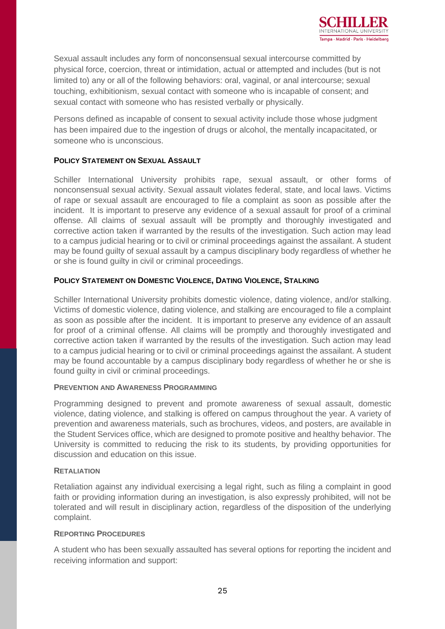

Sexual assault includes any form of nonconsensual sexual intercourse committed by physical force, coercion, threat or intimidation, actual or attempted and includes (but is not limited to) any or all of the following behaviors: oral, vaginal, or anal intercourse; sexual touching, exhibitionism, sexual contact with someone who is incapable of consent; and sexual contact with someone who has resisted verbally or physically.

Persons defined as incapable of consent to sexual activity include those whose judgment has been impaired due to the ingestion of drugs or alcohol, the mentally incapacitated, or someone who is unconscious.

#### **POLICY STATEMENT ON SEXUAL ASSAULT**

Schiller International University prohibits rape, sexual assault, or other forms of nonconsensual sexual activity. Sexual assault violates federal, state, and local laws. Victims of rape or sexual assault are encouraged to file a complaint as soon as possible after the incident. It is important to preserve any evidence of a sexual assault for proof of a criminal offense. All claims of sexual assault will be promptly and thoroughly investigated and corrective action taken if warranted by the results of the investigation. Such action may lead to a campus judicial hearing or to civil or criminal proceedings against the assailant. A student may be found guilty of sexual assault by a campus disciplinary body regardless of whether he or she is found guilty in civil or criminal proceedings.

#### **POLICY STATEMENT ON DOMESTIC VIOLENCE, DATING VIOLENCE, STALKING**

Schiller International University prohibits domestic violence, dating violence, and/or stalking. Victims of domestic violence, dating violence, and stalking are encouraged to file a complaint as soon as possible after the incident. It is important to preserve any evidence of an assault for proof of a criminal offense. All claims will be promptly and thoroughly investigated and corrective action taken if warranted by the results of the investigation. Such action may lead to a campus judicial hearing or to civil or criminal proceedings against the assailant. A student may be found accountable by a campus disciplinary body regardless of whether he or she is found guilty in civil or criminal proceedings.

#### **PREVENTION AND AWARENESS PROGRAMMING**

Programming designed to prevent and promote awareness of sexual assault, domestic violence, dating violence, and stalking is offered on campus throughout the year. A variety of prevention and awareness materials, such as brochures, videos, and posters, are available in the Student Services office, which are designed to promote positive and healthy behavior. The University is committed to reducing the risk to its students, by providing opportunities for discussion and education on this issue.

#### **RETALIATION**

Retaliation against any individual exercising a legal right, such as filing a complaint in good faith or providing information during an investigation, is also expressly prohibited, will not be tolerated and will result in disciplinary action, regardless of the disposition of the underlying complaint.

#### **REPORTING PROCEDURES**

A student who has been sexually assaulted has several options for reporting the incident and receiving information and support: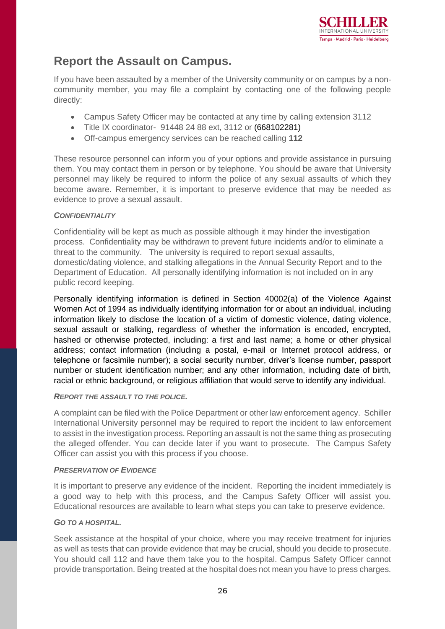

## **Report the Assault on Campus.**

If you have been assaulted by a member of the University community or on campus by a noncommunity member, you may file a complaint by contacting one of the following people directly:

- Campus Safety Officer may be contacted at any time by calling extension 3112
- Title IX coordinator- 91448 24 88 ext, 3112 or (668102281)
- Off-campus emergency services can be reached calling **112**

These resource personnel can inform you of your options and provide assistance in pursuing them. You may contact them in person or by telephone. You should be aware that University personnel may likely be required to inform the police of any sexual assaults of which they become aware. Remember, it is important to preserve evidence that may be needed as evidence to prove a sexual assault.

#### *CONFIDENTIALITY*

Confidentiality will be kept as much as possible although it may hinder the investigation process. Confidentiality may be withdrawn to prevent future incidents and/or to eliminate a threat to the community. The university is required to report sexual assaults, domestic/dating violence, and stalking allegations in the Annual Security Report and to the Department of Education. All personally identifying information is not included on in any public record keeping.

Personally identifying information is defined in Section 40002(a) of the Violence Against Women Act of 1994 as individually identifying information for or about an individual, including information likely to disclose the location of a victim of domestic violence, dating violence, sexual assault or stalking, regardless of whether the information is encoded, encrypted, hashed or otherwise protected, including: a first and last name; a home or other physical address; contact information (including a postal, e-mail or Internet protocol address, or telephone or facsimile number); a social security number, driver's license number, passport number or student identification number; and any other information, including date of birth, racial or ethnic background, or religious affiliation that would serve to identify any individual.

#### *REPORT THE ASSAULT TO THE POLICE.*

A complaint can be filed with the Police Department or other law enforcement agency. Schiller International University personnel may be required to report the incident to law enforcement to assist in the investigation process. Reporting an assault is not the same thing as prosecuting the alleged offender. You can decide later if you want to prosecute. The Campus Safety Officer can assist you with this process if you choose.

#### *PRESERVATION OF EVIDENCE*

It is important to preserve any evidence of the incident. Reporting the incident immediately is a good way to help with this process, and the Campus Safety Officer will assist you. Educational resources are available to learn what steps you can take to preserve evidence.

#### *GO TO A HOSPITAL.*

Seek assistance at the hospital of your choice, where you may receive treatment for injuries as well as tests that can provide evidence that may be crucial, should you decide to prosecute. You should call 112 and have them take you to the hospital. Campus Safety Officer cannot provide transportation. Being treated at the hospital does not mean you have to press charges.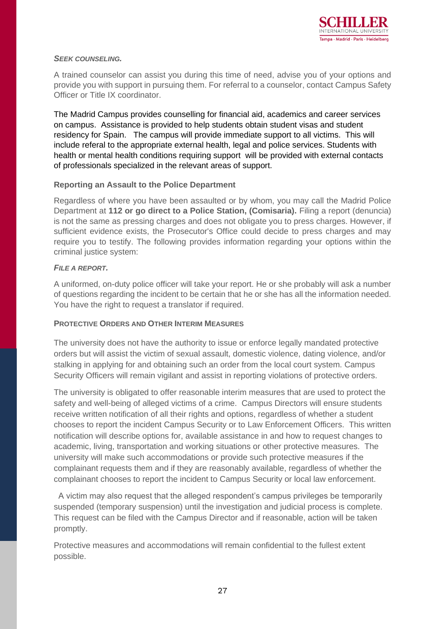

#### *SEEK COUNSELING.*

A trained counselor can assist you during this time of need, advise you of your options and provide you with support in pursuing them. For referral to a counselor, contact Campus Safety Officer or Title IX coordinator.

The Madrid Campus provides counselling for financial aid, academics and career services on campus. Assistance is provided to help students obtain student visas and student residency for Spain. The campus will provide immediate support to all victims. This will include referal to the appropriate external health, legal and police services. Students with health or mental health conditions requiring support will be provided with external contacts of professionals specialized in the relevant areas of support.

#### **Reporting an Assault to the Police Department**

Regardless of where you have been assaulted or by whom, you may call the Madrid Police Department at **112 or go direct to a Police Station, (Comisaria).** Filing a report (denuncia) is not the same as pressing charges and does not obligate you to press charges. However, if sufficient evidence exists, the Prosecutor's Office could decide to press charges and may require you to testify. The following provides information regarding your options within the criminal justice system:

#### *FILE A REPORT.*

A uniformed, on-duty police officer will take your report. He or she probably will ask a number of questions regarding the incident to be certain that he or she has all the information needed. You have the right to request a translator if required.

#### **PROTECTIVE ORDERS AND OTHER INTERIM MEASURES**

The university does not have the authority to issue or enforce legally mandated protective orders but will assist the victim of sexual assault, domestic violence, dating violence, and/or stalking in applying for and obtaining such an order from the local court system. Campus Security Officers will remain vigilant and assist in reporting violations of protective orders.

The university is obligated to offer reasonable interim measures that are used to protect the safety and well-being of alleged victims of a crime. Campus Directors will ensure students receive written notification of all their rights and options, regardless of whether a student chooses to report the incident Campus Security or to Law Enforcement Officers. This written notification will describe options for, available assistance in and how to request changes to academic, living, transportation and working situations or other protective measures. The university will make such accommodations or provide such protective measures if the complainant requests them and if they are reasonably available, regardless of whether the complainant chooses to report the incident to Campus Security or local law enforcement.

 A victim may also request that the alleged respondent's campus privileges be temporarily suspended (temporary suspension) until the investigation and judicial process is complete. This request can be filed with the Campus Director and if reasonable, action will be taken promptly.

Protective measures and accommodations will remain confidential to the fullest extent possible.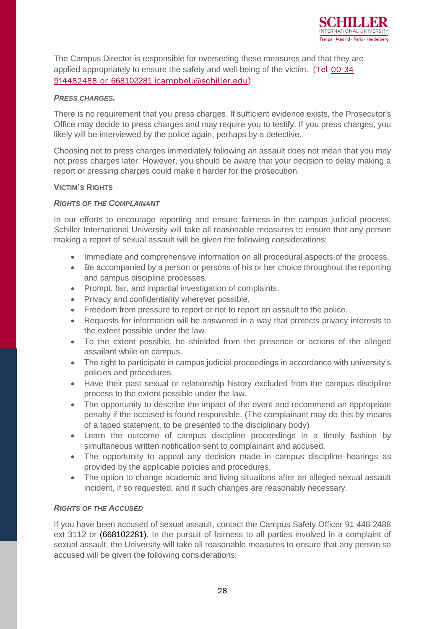

The Campus Director is responsible for overseeing these measures and that they are applied appropriately to ensure the safety and well-being of the victim. (Tel 00 34 914482488 or 668102281 i[campbell@schiller.edu\)](mailto:914482488%20or%20668102281%20/icampbell@schiller.edu)

#### *PRESS CHARGES.*

There is no requirement that you press charges. If sufficient evidence exists, the Prosecutor's Office may decide to press charges and may require you to testify. If you press charges, you likely will be interviewed by the police again, perhaps by a detective.

Choosing not to press charges immediately following an assault does not mean that you may not press charges later. However, you should be aware that your decision to delay making a report or pressing charges could make it harder for the prosecution.

#### **VICTIM'S RIGHTS**

#### *RIGHTS OF THE COMPLAINANT*

In our efforts to encourage reporting and ensure fairness in the campus judicial process, Schiller International University will take all reasonable measures to ensure that any person making a report of sexual assault will be given the following considerations:

- Immediate and comprehensive information on all procedural aspects of the process.
- Be accompanied by a person or persons of his or her choice throughout the reporting and campus discipline processes.
- Prompt, fair, and impartial investigation of complaints.
- Privacy and confidentiality wherever possible.
- Freedom from pressure to report or not to report an assault to the police.
- Requests for information will be answered in a way that protects privacy interests to the extent possible under the law.
- To the extent possible, be shielded from the presence or actions of the alleged assailant while on campus.
- The right to participate in campus judicial proceedings in accordance with university's policies and procedures.
- Have their past sexual or relationship history excluded from the campus discipline process to the extent possible under the law.
- The opportunity to describe the impact of the event and recommend an appropriate penalty if the accused is found responsible. (The complainant may do this by means of a taped statement, to be presented to the disciplinary body)
- Learn the outcome of campus discipline proceedings in a timely fashion by simultaneous written notification sent to complainant and accused.
- The opportunity to appeal any decision made in campus discipline hearings as provided by the applicable policies and procedures.
- The option to change academic and living situations after an alleged sexual assault incident, if so requested, and if such changes are reasonably necessary.

#### *RIGHTS OF THE ACCUSED*

If you have been accused of sexual assault, contact the Campus Safety Officer 91 448 2488 ext 3112 or (668102281). In the pursuit of fairness to all parties involved in a complaint of sexual assault, the University will take all reasonable measures to ensure that any person so accused will be given the following considerations: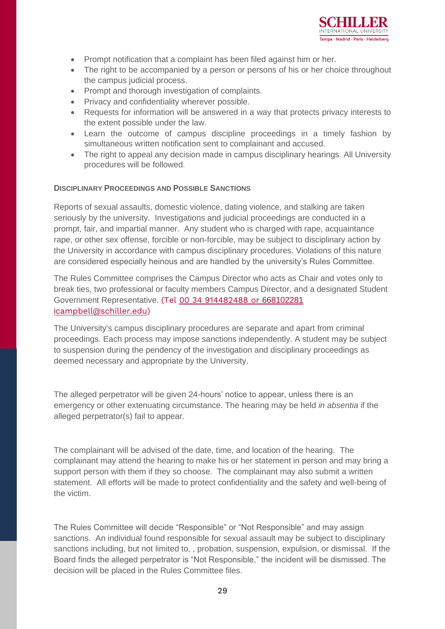

- Prompt notification that a complaint has been filed against him or her.
- The right to be accompanied by a person or persons of his or her choice throughout the campus judicial process.
- Prompt and thorough investigation of complaints.
- Privacy and confidentiality wherever possible.
- Requests for information will be answered in a way that protects privacy interests to the extent possible under the law.
- Learn the outcome of campus discipline proceedings in a timely fashion by simultaneous written notification sent to complainant and accused.
- The right to appeal any decision made in campus disciplinary hearings. All University procedures will be followed.

#### **DISCIPLINARY PROCEEDINGS AND POSSIBLE SANCTIONS**

Reports of sexual assaults, domestic violence, dating violence, and stalking are taken seriously by the university. Investigations and judicial proceedings are conducted in a prompt, fair, and impartial manner. Any student who is charged with rape, acquaintance rape, or other sex offense, forcible or non-forcible, may be subject to disciplinary action by the University in accordance with campus disciplinary procedures. Violations of this nature are considered especially heinous and are handled by the university's Rules Committee.

The Rules Committee comprises the Campus Director who acts as Chair and votes only to break ties, two professional or faculty members Campus Director, and a designated Student Government Representative. (Tel 00 34 [914482488](mailto:914482488%20or%20668102281%20/icampbell@schiller.edu) or 66810228[1](mailto:914482488%20or%20668102281%20/icampbell@schiller.edu) i[campbell@schiller.edu\)](mailto:914482488%20or%20668102281%20/icampbell@schiller.edu)

The University's campus disciplinary procedures are separate and apart from criminal proceedings. Each process may impose sanctions independently. A student may be subject to suspension during the pendency of the investigation and disciplinary proceedings as deemed necessary and appropriate by the University.

The alleged perpetrator will be given 24-hours' notice to appear, unless there is an emergency or other extenuating circumstance. The hearing may be held *in absentia* if the alleged perpetrator(s) fail to appear.

The complainant will be advised of the date, time, and location of the hearing. The complainant may attend the hearing to make his or her statement in person and may bring a support person with them if they so choose. The complainant may also submit a written statement. All efforts will be made to protect confidentiality and the safety and well-being of the victim.

The Rules Committee will decide "Responsible" or "Not Responsible" and may assign sanctions. An individual found responsible for sexual assault may be subject to disciplinary sanctions including, but not limited to, , probation, suspension, expulsion, or dismissal. If the Board finds the alleged perpetrator is "Not Responsible," the incident will be dismissed. The decision will be placed in the Rules Committee files.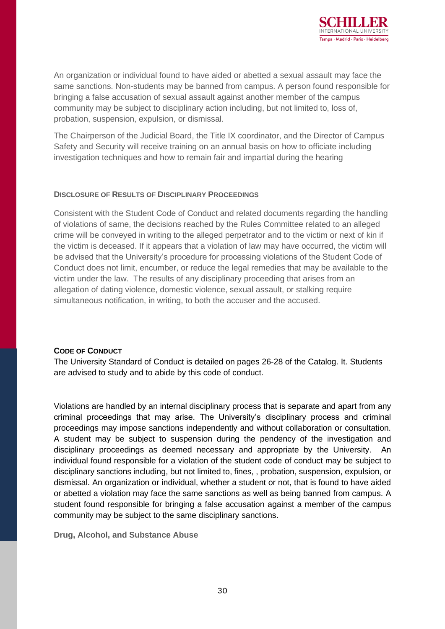

An organization or individual found to have aided or abetted a sexual assault may face the same sanctions. Non-students may be banned from campus. A person found responsible for bringing a false accusation of sexual assault against another member of the campus community may be subject to disciplinary action including, but not limited to, loss of, probation, suspension, expulsion, or dismissal.

The Chairperson of the Judicial Board, the Title IX coordinator, and the Director of Campus Safety and Security will receive training on an annual basis on how to officiate including investigation techniques and how to remain fair and impartial during the hearing

#### **DISCLOSURE OF RESULTS OF DISCIPLINARY PROCEEDINGS**

Consistent with the Student Code of Conduct and related documents regarding the handling of violations of same, the decisions reached by the Rules Committee related to an alleged crime will be conveyed in writing to the alleged perpetrator and to the victim or next of kin if the victim is deceased. If it appears that a violation of law may have occurred, the victim will be advised that the University's procedure for processing violations of the Student Code of Conduct does not limit, encumber, or reduce the legal remedies that may be available to the victim under the law. The results of any disciplinary proceeding that arises from an allegation of dating violence, domestic violence, sexual assault, or stalking require simultaneous notification, in writing, to both the accuser and the accused.

#### **CODE OF CONDUCT**

The University Standard of Conduct is detailed on pages 26-28 of the Catalog. It. Students are advised to study and to abide by this code of conduct.

Violations are handled by an internal disciplinary process that is separate and apart from any criminal proceedings that may arise. The University's disciplinary process and criminal proceedings may impose sanctions independently and without collaboration or consultation. A student may be subject to suspension during the pendency of the investigation and disciplinary proceedings as deemed necessary and appropriate by the University. An individual found responsible for a violation of the student code of conduct may be subject to disciplinary sanctions including, but not limited to, fines, , probation, suspension, expulsion, or dismissal. An organization or individual, whether a student or not, that is found to have aided or abetted a violation may face the same sanctions as well as being banned from campus. A student found responsible for bringing a false accusation against a member of the campus community may be subject to the same disciplinary sanctions.

**Drug, Alcohol, and Substance Abuse**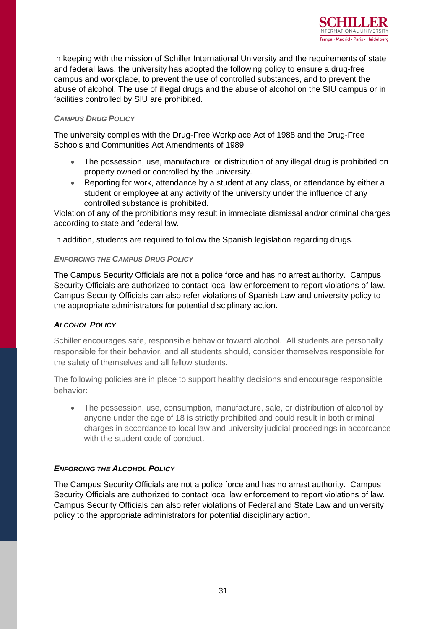

In keeping with the mission of Schiller International University and the requirements of state and federal laws, the university has adopted the following policy to ensure a drug-free campus and workplace, to prevent the use of controlled substances, and to prevent the abuse of alcohol. The use of illegal drugs and the abuse of alcohol on the SIU campus or in facilities controlled by SIU are prohibited.

#### *CAMPUS DRUG POLICY*

The university complies with the Drug-Free Workplace Act of 1988 and the Drug-Free Schools and Communities Act Amendments of 1989.

- The possession, use, manufacture, or distribution of any illegal drug is prohibited on property owned or controlled by the university.
- Reporting for work, attendance by a student at any class, or attendance by either a student or employee at any activity of the university under the influence of any controlled substance is prohibited.

Violation of any of the prohibitions may result in immediate dismissal and/or criminal charges according to state and federal law.

In addition, students are required to follow the Spanish legislation regarding drugs.

#### *ENFORCING THE CAMPUS DRUG POLICY*

The Campus Security Officials are not a police force and has no arrest authority. Campus Security Officials are authorized to contact local law enforcement to report violations of law. Campus Security Officials can also refer violations of Spanish Law and university policy to the appropriate administrators for potential disciplinary action.

#### *ALCOHOL POLICY*

Schiller encourages safe, responsible behavior toward alcohol. All students are personally responsible for their behavior, and all students should, consider themselves responsible for the safety of themselves and all fellow students.

The following policies are in place to support healthy decisions and encourage responsible behavior:

• The possession, use, consumption, manufacture, sale, or distribution of alcohol by anyone under the age of 18 is strictly prohibited and could result in both criminal charges in accordance to local law and university judicial proceedings in accordance with the student code of conduct.

#### *ENFORCING THE ALCOHOL POLICY*

The Campus Security Officials are not a police force and has no arrest authority. Campus Security Officials are authorized to contact local law enforcement to report violations of law. Campus Security Officials can also refer violations of Federal and State Law and university policy to the appropriate administrators for potential disciplinary action.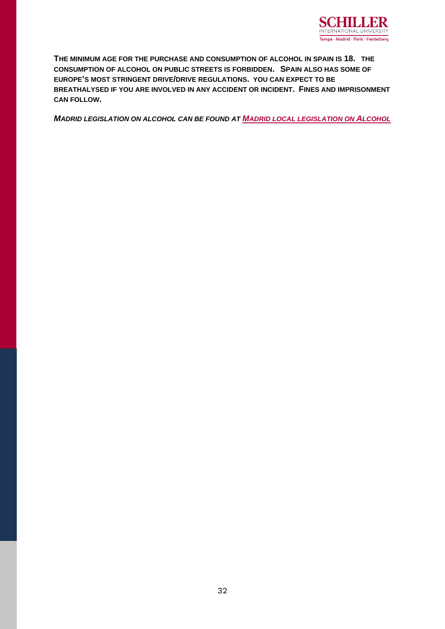

**THE MINIMUM AGE FOR THE PURCHASE AND CONSUMPTION OF ALCOHOL IN SPAIN IS 18. THE CONSUMPTION OF ALCOHOL ON PUBLIC STREETS IS FORBIDDEN. SPAIN ALSO HAS SOME OF EUROPE'S MOST STRINGENT DRIVE/DRIVE REGULATIONS. YOU CAN EXPECT TO BE BREATHALYSED IF YOU ARE INVOLVED IN ANY ACCIDENT OR INCIDENT. FINES AND IMPRISONMENT CAN FOLLOW.**

*MADRID LEGISLATION ON ALCOHOL CAN BE FOUND AT M[ADRID LOCAL LEGISLATION ON](http://www.madrid.org/wleg_pub/secure/normativas/contenidoNormativa.jsf?opcion=VerHtml&nmnorma=1779&cdestado=P#no-back-button) ALCOHOL*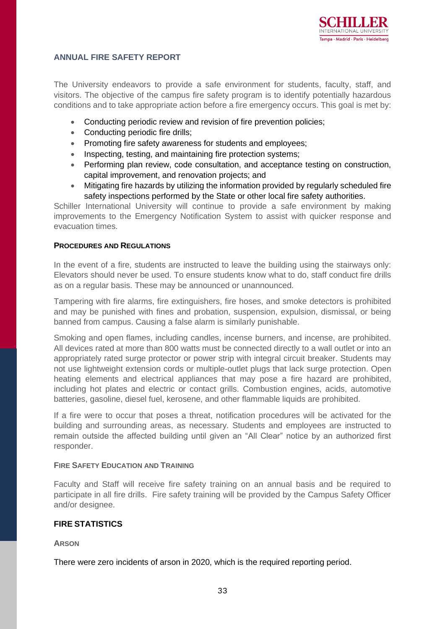#### **ANNUAL FIRE SAFETY REPORT**

The University endeavors to provide a safe environment for students, faculty, staff, and visitors. The objective of the campus fire safety program is to identify potentially hazardous conditions and to take appropriate action before a fire emergency occurs. This goal is met by:

- Conducting periodic review and revision of fire prevention policies;
- Conducting periodic fire drills;
- Promoting fire safety awareness for students and employees;
- Inspecting, testing, and maintaining fire protection systems;
- Performing plan review, code consultation, and acceptance testing on construction, capital improvement, and renovation projects; and
- Mitigating fire hazards by utilizing the information provided by regularly scheduled fire safety inspections performed by the State or other local fire safety authorities.

Schiller International University will continue to provide a safe environment by making improvements to the Emergency Notification System to assist with quicker response and evacuation times.

#### **PROCEDURES AND REGULATIONS**

In the event of a fire, students are instructed to leave the building using the stairways only: Elevators should never be used. To ensure students know what to do, staff conduct fire drills as on a regular basis. These may be announced or unannounced.

Tampering with fire alarms, fire extinguishers, fire hoses, and smoke detectors is prohibited and may be punished with fines and probation, suspension, expulsion, dismissal, or being banned from campus. Causing a false alarm is similarly punishable.

Smoking and open flames, including candles, incense burners, and incense, are prohibited. All devices rated at more than 800 watts must be connected directly to a wall outlet or into an appropriately rated surge protector or power strip with integral circuit breaker. Students may not use lightweight extension cords or multiple-outlet plugs that lack surge protection. Open heating elements and electrical appliances that may pose a fire hazard are prohibited, including hot plates and electric or contact grills. Combustion engines, acids, automotive batteries, gasoline, diesel fuel, kerosene, and other flammable liquids are prohibited.

If a fire were to occur that poses a threat, notification procedures will be activated for the building and surrounding areas, as necessary. Students and employees are instructed to remain outside the affected building until given an "All Clear" notice by an authorized first responder.

#### **FIRE SAFETY EDUCATION AND TRAINING**

Faculty and Staff will receive fire safety training on an annual basis and be required to participate in all fire drills. Fire safety training will be provided by the Campus Safety Officer and/or designee.

#### **FIRE STATISTICS**

**ARSON**

There were zero incidents of arson in 2020, which is the required reporting period.